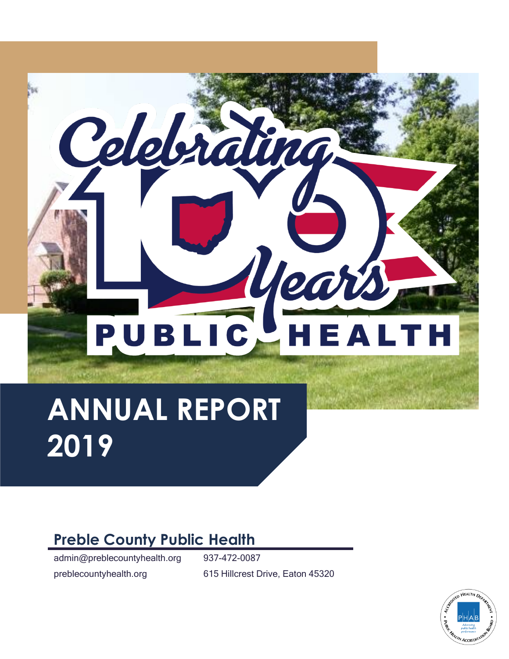

# **ANNUAL REPORT 2019**

# **Preble County Public Health**

admin@preblecountyhealth.org 937-472-0087 preblecountyhealth.org 615 Hillcrest Drive, Eaton 45320

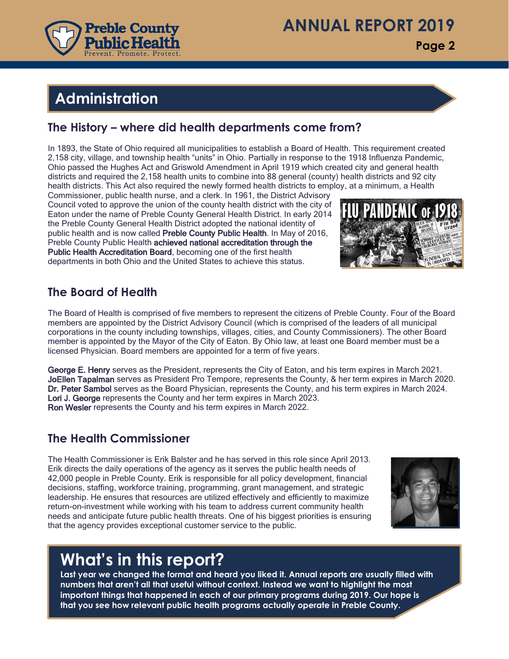

**Page 2**

# **Administration Administration**

#### **The History – where did health departments come from?**

In 1893, the State of Ohio required all municipalities to establish a Board of Health. This requirement created 2,158 city, village, and township health "units" in Ohio. Partially in response to the 1918 Influenza Pandemic, Ohio passed the Hughes Act and Griswold Amendment in April 1919 which created city and general health districts and required the 2,158 health units to combine into 88 general (county) health districts and 92 city health districts. This Act also required the newly formed health districts to employ, at a minimum, a Health

Commissioner, public health nurse, and a clerk. In 1961, the District Advisory Council voted to approve the union of the county health district with the city of Eaton under the name of Preble County General Health District. In early 2014 the Preble County General Health District adopted the national identity of public health and is now called Preble County Public Health. In May of 2016, Preble County Public Health achieved national accreditation through the Public Health Accreditation Board, becoming one of the first health departments in both Ohio and the United States to achieve this status.

#### **The Board of Health**

The Board of Health is comprised of five members to represent the citizens of Preble County. Four of the Board members are appointed by the District Advisory Council (which is comprised of the leaders of all municipal corporations in the county including townships, villages, cities, and County Commissioners). The other Board member is appointed by the Mayor of the City of Eaton. By Ohio law, at least one Board member must be a licensed Physician. Board members are appointed for a term of five years.

George E. Henry serves as the President, represents the City of Eaton, and his term expires in March 2021. JoEllen Tapalman serves as President Pro Tempore, represents the County, & her term expires in March 2020. Dr. Peter Sambol serves as the Board Physician, represents the County, and his term expires in March 2024. Lori J. George represents the County and her term expires in March 2023. Ron Wesler represents the County and his term expires in March 2022.

#### **The Health Commissioner**

The Health Commissioner is Erik Balster and he has served in this role since April 2013. Erik directs the daily operations of the agency as it serves the public health needs of 42,000 people in Preble County. Erik is responsible for all policy development, financial decisions, staffing, workforce training, programming, grant management, and strategic leadership. He ensures that resources are utilized effectively and efficiently to maximize return-on-investment while working with his team to address current community health needs and anticipate future public health threats. One of his biggest priorities is ensuring that the agency provides exceptional customer service to the public.



## **What's in this report?**

**Last year we changed the format and heard you liked it. Annual reports are usually filled with numbers that aren't all that useful without context. Instead we want to highlight the most important things that happened in each of our primary programs during 2019. Our hope is that you see how relevant public health programs actually operate in Preble County.**

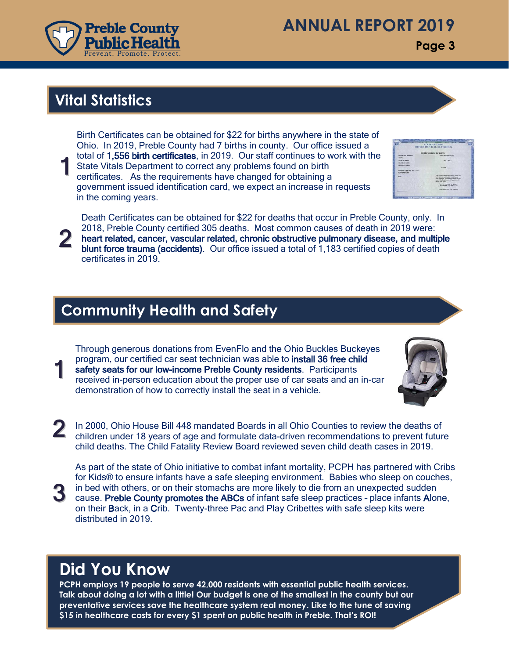

## **ANNUAL REPORT 2019**

**Page 3**

## **Vital Statistics**

1 Birth Certificates can be obtained for \$22 for births anywhere in the state of Ohio. In 2019, Preble County had 7 births in county. Our office issued a total of 1,556 birth certificates, in 2019. Our staff continues to work with the State Vitals Department to correct any problems found on birth certificates. As the requirements have changed for obtaining a government issued identification card, we expect an increase in requests in the coming years.

2 Death Certificates can be obtained for \$22 for deaths that occur in Preble County, only. In 2018, Preble County certified 305 deaths. Most common causes of death in 2019 were: heart related, cancer, vascular related, chronic obstructive pulmonary disease, and multiple blunt force trauma (accidents). Our office issued a total of 1,183 certified copies of death certificates in 2019.

## **Community Health and Safety**

1 Through generous donations from EvenFlo and the Ohio Buckles Buckeyes program, our certified car seat technician was able to install 36 free child safety seats for our low-income Preble County residents. Participants received in-person education about the proper use of car seats and an in-car demonstration of how to correctly install the seat in a vehicle.



2 In 2000, Ohio House Bill 448 mandated Boards in all Ohio Counties to review the deaths of children under 18 years of age and formulate data-driven recommendations to prevent future child deaths. The Child Fatality Review Board reviewed seven child death cases in 2019.

As part of the state of Ohio initiative to combat infant mortality, PCPH has partnered with Cribs for Kids® to ensure infants have a safe sleeping environment. Babies who sleep on couches, in bed with others, or on their stomachs are more likely to die from an unexpected sudden cause. Preble County promotes the ABCs of infant safe sleep practices – place infants Alone, on their Back, in a Crib. Twenty-three Pac and Play Cribettes with safe sleep kits were distributed in 2019.

## **Did You Know**

3

**PCPH employs 19 people to serve 42,000 residents with essential public health services. Talk about doing a lot with a little! Our budget is one of the smallest in the county but our preventative services save the healthcare system real money. Like to the tune of saving \$15 in healthcare costs for every \$1 spent on public health in Preble. That's ROI!**

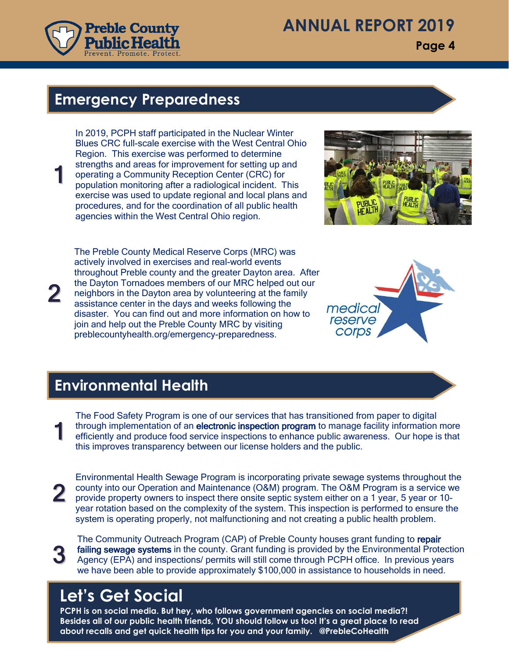

1

2

## **ANNUAL REPORT 2019**

**Page 4**

#### **Emergency Preparedness**

In 2019, PCPH staff participated in the Nuclear Winter Blues CRC full-scale exercise with the West Central Ohio Region. This exercise was performed to determine strengths and areas for improvement for setting up and operating a Community Reception Center (CRC) for population monitoring after a radiological incident. This exercise was used to update regional and local plans and procedures, and for the coordination of all public health agencies within the West Central Ohio region.



The Preble County Medical Reserve Corps (MRC) was actively involved in exercises and real-world events throughout Preble county and the greater Dayton area. After the Dayton Tornadoes members of our MRC helped out our neighbors in the Dayton area by volunteering at the family assistance center in the days and weeks following the disaster. You can find out and more information on how to join and help out the Preble County MRC by visiting preblecountyhealth.org/emergency-preparedness.



## **Environmental Health**

1 The Food Safety Program is one of our services that has transitioned from paper to digital through implementation of an electronic inspection program to manage facility information more efficiently and produce food service inspections to enhance public awareness. Our hope is that this improves transparency between our license holders and the public.

2 Environmental Health Sewage Program is incorporating private sewage systems throughout the county into our Operation and Maintenance (O&M) program. The O&M Program is a service we provide property owners to inspect there onsite septic system either on a 1 year, 5 year or 10 year rotation based on the complexity of the system. This inspection is performed to ensure the system is operating properly, not malfunctioning and not creating a public health problem.

3 The Community Outreach Program (CAP) of Preble County houses grant funding to repair failing sewage systems in the county. Grant funding is provided by the Environmental Protection Agency (EPA) and inspections/ permits will still come through PCPH office. In previous years we have been able to provide approximately \$100,000 in assistance to households in need.

## **Let's Get Social**

**PCPH is on social media. But hey, who follows government agencies on social media?! Besides all of our public health friends, YOU should follow us too! It's a great place to read about recalls and get quick health tips for you and your family. @PrebleCoHealth**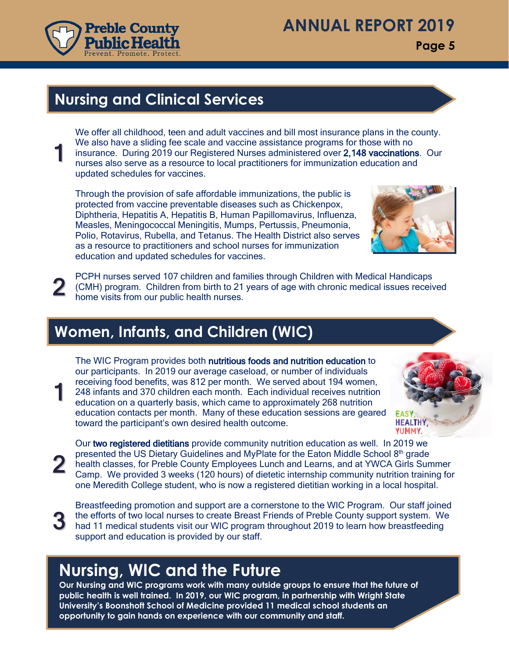

**Page 5**

## **Nursing and Clinical Services**

We offer all childhood, teen and adult vaccines and bill most insurance plans in the county. We also have a sliding fee scale and vaccine assistance programs for those with no insurance. During 2019 our Registered Nurses administered over 2,148 vaccinations. Our nurses also serve as a resource to local practitioners for immunization education and updated schedules for vaccines.

Through the provision of safe affordable immunizations, the public is protected from vaccine preventable diseases such as Chickenpox, Diphtheria, Hepatitis A, Hepatitis B, Human Papillomavirus, Influenza, Measles, Meningococcal Meningitis, Mumps, Pertussis, Pneumonia, Polio, Rotavirus, Rubella, and Tetanus. The Health District also serves as a resource to practitioners and school nurses for immunization education and updated schedules for vaccines.



2 PCPH nurses served 107 children and families through Children with Medical Handicaps (CMH) program. Children from birth to 21 years of age with chronic medical issues received home visits from our public health nurses.

## **Women, Infants, and Children (WIC)**

The WIC Program provides both nutritious foods and nutrition education to our participants. In 2019 our average caseload, or number of individuals receiving food benefits, was 812 per month. We served about 194 women, 248 infants and 370 children each month. Each individual receives nutrition education on a quarterly basis, which came to approximately 268 nutrition education contacts per month. Many of these education sessions are geared toward the participant's own desired health outcome.



Our two registered dietitians provide community nutrition education as well. In 2019 we presented the US Dietary Guidelines and MyPlate for the Eaton Middle School 8<sup>th</sup> grade health classes, for Preble County Employees Lunch and Learns, and at YWCA Girls Summer Camp. We provided 3 weeks (120 hours) of dietetic internship community nutrition training for one Meredith College student, who is now a registered dietitian working in a local hospital.

3

2

1

1

Breastfeeding promotion and support are a cornerstone to the WIC Program. Our staff joined the efforts of two local nurses to create Breast Friends of Preble County support system. We had 11 medical students visit our WIC program throughout 2019 to learn how breastfeeding support and education is provided by our staff.

# **Nursing, WIC and the Future**

**Our Nursing and WIC programs work with many outside groups to ensure that the future of public health is well trained. In 2019, our WIC program, in partnership with Wright State University's Boonshoft School of Medicine provided 11 medical school students an opportunity to gain hands on experience with our community and staff.**